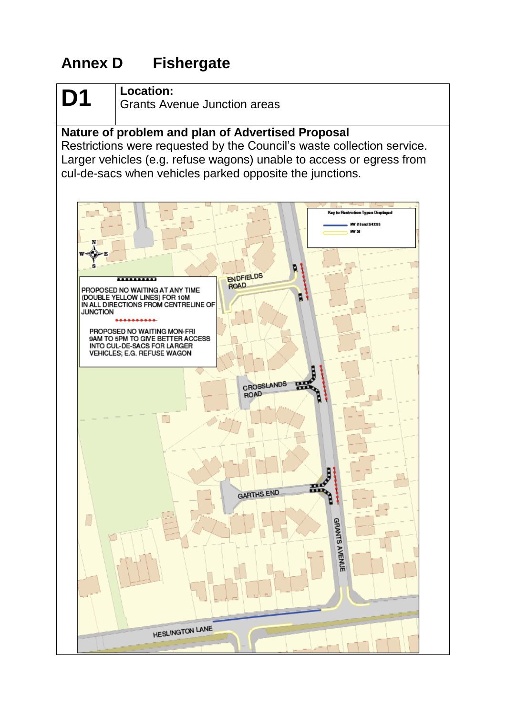## **Annex D Fishergate**

## **D1 Location:**

Grants Avenue Junction areas

#### **Nature of problem and plan of Advertised Proposal**

Restrictions were requested by the Council's waste collection service. Larger vehicles (e.g. refuse wagons) unable to access or egress from cul-de-sacs when vehicles parked opposite the junctions.

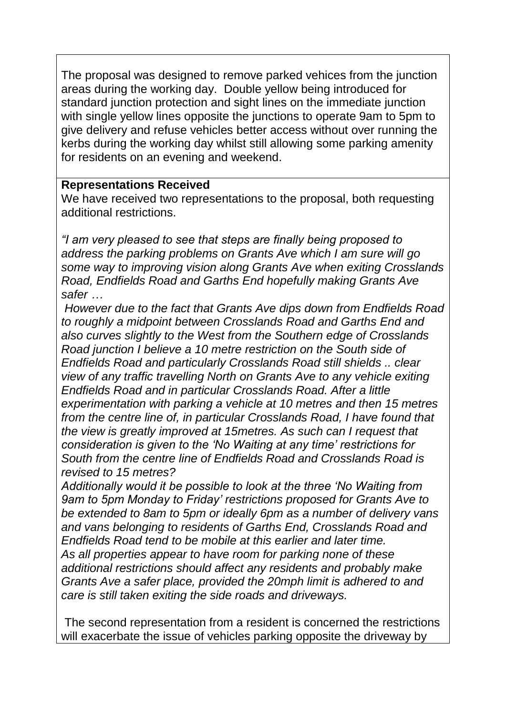The proposal was designed to remove parked vehices from the junction areas during the working day. Double yellow being introduced for standard junction protection and sight lines on the immediate junction with single yellow lines opposite the junctions to operate 9am to 5pm to give delivery and refuse vehicles better access without over running the kerbs during the working day whilst still allowing some parking amenity for residents on an evening and weekend.

#### **Representations Received**

We have received two representations to the proposal, both requesting additional restrictions.

*"I am very pleased to see that steps are finally being proposed to address the parking problems on Grants Ave which I am sure will go some way to improving vision along Grants Ave when exiting Crosslands Road, Endfields Road and Garths End hopefully making Grants Ave safer …*

*However due to the fact that Grants Ave dips down from Endfields Road to roughly a midpoint between Crosslands Road and Garths End and also curves slightly to the West from the Southern edge of Crosslands Road junction I believe a 10 metre restriction on the South side of Endfields Road and particularly Crosslands Road still shields .. clear view of any traffic travelling North on Grants Ave to any vehicle exiting Endfields Road and in particular Crosslands Road. After a little experimentation with parking a vehicle at 10 metres and then 15 metres from the centre line of, in particular Crosslands Road, I have found that the view is greatly improved at 15metres. As such can I request that consideration is given to the 'No Waiting at any time' restrictions for South from the centre line of Endfields Road and Crosslands Road is revised to 15 metres?* 

*Additionally would it be possible to look at the three 'No Waiting from 9am to 5pm Monday to Friday' restrictions proposed for Grants Ave to be extended to 8am to 5pm or ideally 6pm as a number of delivery vans and vans belonging to residents of Garths End, Crosslands Road and Endfields Road tend to be mobile at this earlier and later time. As all properties appear to have room for parking none of these additional restrictions should affect any residents and probably make Grants Ave a safer place, provided the 20mph limit is adhered to and care is still taken exiting the side roads and driveways.* 

The second representation from a resident is concerned the restrictions will exacerbate the issue of vehicles parking opposite the driveway by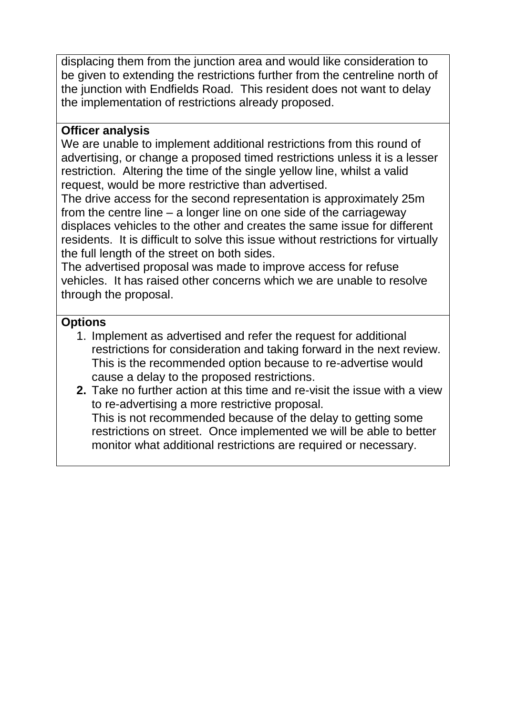displacing them from the junction area and would like consideration to be given to extending the restrictions further from the centreline north of the junction with Endfields Road. This resident does not want to delay the implementation of restrictions already proposed.

#### **Officer analysis**

We are unable to implement additional restrictions from this round of advertising, or change a proposed timed restrictions unless it is a lesser restriction. Altering the time of the single yellow line, whilst a valid request, would be more restrictive than advertised.

The drive access for the second representation is approximately 25m from the centre line – a longer line on one side of the carriageway displaces vehicles to the other and creates the same issue for different residents. It is difficult to solve this issue without restrictions for virtually the full length of the street on both sides.

The advertised proposal was made to improve access for refuse vehicles. It has raised other concerns which we are unable to resolve through the proposal.

#### **Options**

- 1. Implement as advertised and refer the request for additional restrictions for consideration and taking forward in the next review. This is the recommended option because to re-advertise would cause a delay to the proposed restrictions.
- **2.** Take no further action at this time and re-visit the issue with a view to re-advertising a more restrictive proposal. This is not recommended because of the delay to getting some restrictions on street. Once implemented we will be able to better monitor what additional restrictions are required or necessary.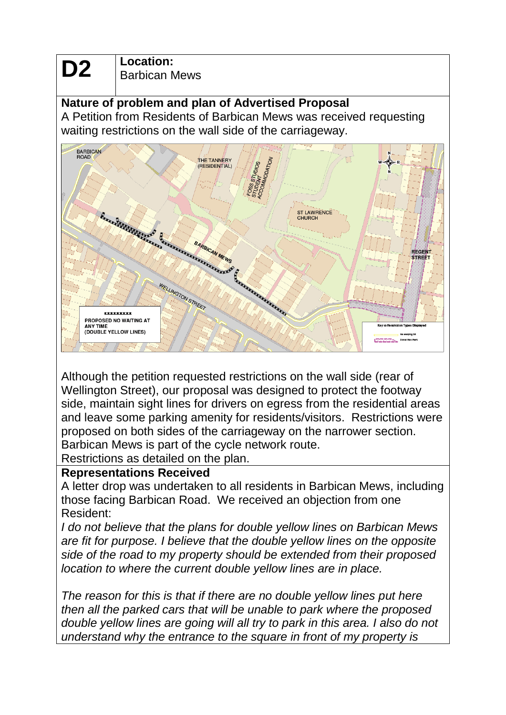**D2 Location:**<br>Barbican Mews

### **Nature of problem and plan of Advertised Proposal**

A Petition from Residents of Barbican Mews was received requesting waiting restrictions on the wall side of the carriageway.



Although the petition requested restrictions on the wall side (rear of Wellington Street), our proposal was designed to protect the footway side, maintain sight lines for drivers on egress from the residential areas and leave some parking amenity for residents/visitors. Restrictions were proposed on both sides of the carriageway on the narrower section. Barbican Mews is part of the cycle network route.

Restrictions as detailed on the plan.

#### **Representations Received**

A letter drop was undertaken to all residents in Barbican Mews, including those facing Barbican Road. We received an objection from one Resident:

*I do not believe that the plans for double yellow lines on Barbican Mews are fit for purpose. I believe that the double yellow lines on the opposite side of the road to my property should be extended from their proposed location to where the current double yellow lines are in place.*

*The reason for this is that if there are no double yellow lines put here then all the parked cars that will be unable to park where the proposed double yellow lines are going will all try to park in this area. I also do not understand why the entrance to the square in front of my property is*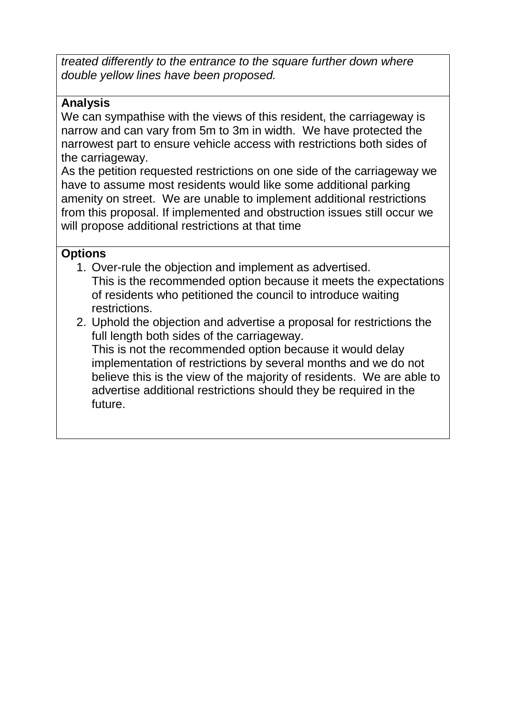*treated differently to the entrance to the square further down where double yellow lines have been proposed.*

#### **Analysis**

We can sympathise with the views of this resident, the carriageway is narrow and can vary from 5m to 3m in width. We have protected the narrowest part to ensure vehicle access with restrictions both sides of the carriageway.

As the petition requested restrictions on one side of the carriageway we have to assume most residents would like some additional parking amenity on street. We are unable to implement additional restrictions from this proposal. If implemented and obstruction issues still occur we will propose additional restrictions at that time

#### **Options**

- 1. Over-rule the objection and implement as advertised. This is the recommended option because it meets the expectations of residents who petitioned the council to introduce waiting restrictions.
- 2. Uphold the objection and advertise a proposal for restrictions the full length both sides of the carriageway. This is not the recommended option because it would delay implementation of restrictions by several months and we do not believe this is the view of the majority of residents. We are able to advertise additional restrictions should they be required in the future.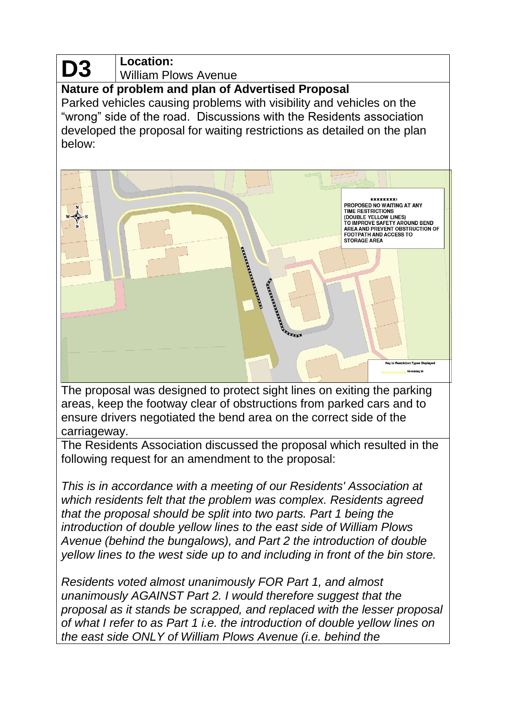# **D3**

#### **Location:** William Plows Avenue

**Nature of problem and plan of Advertised Proposal**

Parked vehicles causing problems with visibility and vehicles on the "wrong" side of the road. Discussions with the Residents association developed the proposal for waiting restrictions as detailed on the plan below:



The proposal was designed to protect sight lines on exiting the parking areas, keep the footway clear of obstructions from parked cars and to ensure drivers negotiated the bend area on the correct side of the carriageway.

The Residents Association discussed the proposal which resulted in the following request for an amendment to the proposal:

*This is in accordance with a meeting of our Residents' Association at which residents felt that the problem was complex. Residents agreed that the proposal should be split into two parts. Part 1 being the introduction of double yellow lines to the east side of William Plows Avenue (behind the bungalows), and Part 2 the introduction of double yellow lines to the west side up to and including in front of the bin store.*

*Residents voted almost unanimously FOR Part 1, and almost unanimously AGAINST Part 2. I would therefore suggest that the proposal as it stands be scrapped, and replaced with the lesser proposal of what I refer to as Part 1 i.e. the introduction of double yellow lines on the east side ONLY of William Plows Avenue (i.e. behind the*